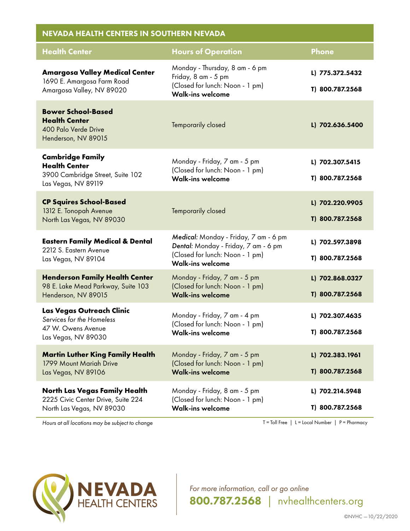| <b>NEVADA HEALTH CENTERS IN SOUTHERN NEVADA</b>                                                            |                                                                                                                                             |                                    |  |
|------------------------------------------------------------------------------------------------------------|---------------------------------------------------------------------------------------------------------------------------------------------|------------------------------------|--|
| <b>Health Center</b>                                                                                       | <b>Hours of Operation</b>                                                                                                                   | <b>Phone</b>                       |  |
| <b>Amargosa Valley Medical Center</b><br>1690 E. Amargosa Farm Road<br>Amargosa Valley, NV 89020           | Monday - Thursday, 8 am - 6 pm<br>Friday, 8 am - 5 pm<br>(Closed for lunch: Noon - 1 pm)<br><b>Walk-ins welcome</b>                         | L) 775.372.5432<br>T) 800.787.2568 |  |
| <b>Bower School-Based</b><br><b>Health Center</b><br>400 Palo Verde Drive<br>Henderson, NV 89015           | Temporarily closed                                                                                                                          | L) 702.636.5400                    |  |
| <b>Cambridge Family</b><br><b>Health Center</b><br>3900 Cambridge Street, Suite 102<br>Las Vegas, NV 89119 | Monday - Friday, 7 am - 5 pm<br>(Closed for lunch: Noon - 1 pm)<br><b>Walk-ins welcome</b>                                                  | L) 702.307.5415<br>T) 800.787.2568 |  |
| <b>CP Squires School-Based</b><br>1312 E. Tonopah Avenue<br>North Las Vegas, NV 89030                      | Temporarily closed                                                                                                                          | L) 702.220.9905<br>T) 800.787.2568 |  |
| <b>Eastern Family Medical &amp; Dental</b><br>2212 S. Eastern Avenue<br>Las Vegas, NV 89104                | Medical: Monday - Friday, 7 am - 6 pm<br>Dental: Monday - Friday, 7 am - 6 pm<br>(Closed for lunch: Noon - 1 pm)<br><b>Walk-ins welcome</b> | L) 702.597.3898<br>T) 800.787.2568 |  |
| <b>Henderson Family Health Center</b><br>98 E. Lake Mead Parkway, Suite 103<br>Henderson, NV 89015         | Monday - Friday, 7 am - 5 pm<br>(Closed for lunch: Noon - 1 pm)<br><b>Walk-ins welcome</b>                                                  | L) 702.868.0327<br>T) 800.787.2568 |  |
| Las Vegas Outreach Clinic<br>Services for the Homeless<br>47 W. Owens Avenue<br>Las Vegas, NV 89030        | Monday - Friday, 7 am - 4 pm<br>(Closed for lunch: Noon - 1 pm)<br><b>Walk-ins welcome</b>                                                  | L) 702.307.4635<br>T) 800.787.2568 |  |
| <b>Martin Luther King Family Health</b><br>1799 Mount Mariah Drive<br>Las Vegas, NV 89106                  | Monday - Friday, 7 am - 5 pm<br>(Closed for lunch: Noon - 1 pm)<br><b>Walk-ins welcome</b>                                                  | L) 702.383.1961<br>T) 800.787.2568 |  |
| <b>North Las Vegas Family Health</b><br>2225 Civic Center Drive, Suite 224<br>North Las Vegas, NV 89030    | Monday - Friday, 8 am - 5 pm<br>(Closed for lunch: Noon - 1 pm)<br><b>Walk-ins welcome</b>                                                  | L) 702.214.5948<br>T) 800.787.2568 |  |

*Hours at all locations may be subject to change* The set of the set of the set of the T = Toll Free | L = Local Number | P = Pharmacy



*For more information, call or go online* 800.787.2568 *|* nvhealthcenters.org